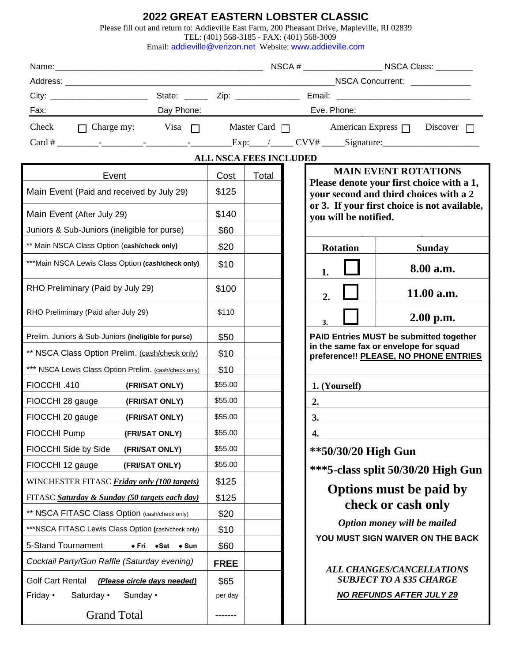## **2022 GREAT EASTERN LOBSTER CLASSIC**

| Please fill out and return to: Addieville East Farm, 200 Pheasant Drive, Mapleville, RI 02839 |  |  |
|-----------------------------------------------------------------------------------------------|--|--|
|                                                                                               |  |  |

TEL: (401) 568-3185 - FAX: (401) 568-3009

Email: **[addieville@verizon.net](mailto:addieville@earthlink.net)** Website: [www.addieville.com](http://www.addieville.com/)

| Fax: Day Phone: Day Phone:                                                                  |                |             |       |                         |                                                                                                                                                              |               | Eve. Phone: 2000 2000 2010 2010 2020 2020 2021 2022 2022 2021 2022 2021 2022 2022 2023 |  |  |  |  |
|---------------------------------------------------------------------------------------------|----------------|-------------|-------|-------------------------|--------------------------------------------------------------------------------------------------------------------------------------------------------------|---------------|----------------------------------------------------------------------------------------|--|--|--|--|
|                                                                                             |                |             |       |                         |                                                                                                                                                              |               |                                                                                        |  |  |  |  |
|                                                                                             |                |             |       |                         |                                                                                                                                                              |               |                                                                                        |  |  |  |  |
| <b>ALL NSCA FEES INCLUDED</b>                                                               |                |             |       |                         |                                                                                                                                                              |               |                                                                                        |  |  |  |  |
| Event                                                                                       |                | Cost        | Total |                         |                                                                                                                                                              |               | <b>MAIN EVENT ROTATIONS</b>                                                            |  |  |  |  |
| Main Event (Paid and received by July 29)                                                   |                | \$125       |       |                         | Please denote your first choice with a 1,<br>your second and third choices with a 2<br>or 3. If your first choice is not available,<br>you will be notified. |               |                                                                                        |  |  |  |  |
|                                                                                             |                | \$140       |       |                         |                                                                                                                                                              |               |                                                                                        |  |  |  |  |
| Main Event (After July 29)                                                                  |                | \$60        |       |                         |                                                                                                                                                              |               |                                                                                        |  |  |  |  |
| Juniors & Sub-Juniors (ineligible for purse)<br>** Main NSCA Class Option (cash/check only) |                | \$20        |       |                         | <b>Rotation</b>                                                                                                                                              |               | <b>Sunday</b>                                                                          |  |  |  |  |
| *** Main NSCA Lewis Class Option (cash/check only)                                          |                | \$10        |       |                         |                                                                                                                                                              |               | 8.00 a.m.                                                                              |  |  |  |  |
| RHO Preliminary (Paid by July 29)                                                           |                | \$100       |       |                         | 1.                                                                                                                                                           |               |                                                                                        |  |  |  |  |
|                                                                                             |                |             |       |                         | 2.                                                                                                                                                           |               | 11.00 a.m.                                                                             |  |  |  |  |
| RHO Preliminary (Paid after July 29)                                                        |                | \$110       |       |                         | 3.                                                                                                                                                           |               | $2.00$ p.m.                                                                            |  |  |  |  |
| Prelim. Juniors & Sub-Juniors (ineligible for purse)                                        |                | \$50        |       |                         | <b>PAID Entries MUST be submitted together</b><br>in the same fax or envelope for squad<br>preference!! PLEASE, NO PHONE ENTRIES                             |               |                                                                                        |  |  |  |  |
| ** NSCA Class Option Prelim. (cash/check only)                                              |                | \$10        |       |                         |                                                                                                                                                              |               |                                                                                        |  |  |  |  |
| *** NSCA Lewis Class Option Prelim. (cash/check only)                                       |                | \$10        |       |                         |                                                                                                                                                              |               |                                                                                        |  |  |  |  |
| FIOCCHI .410                                                                                | (FRI/SAT ONLY) | \$55.00     |       |                         |                                                                                                                                                              | 1. (Yourself) |                                                                                        |  |  |  |  |
| FIOCCHI 28 gauge<br>(FRI/SAT ONLY)                                                          |                | \$55.00     |       |                         | 2.                                                                                                                                                           |               |                                                                                        |  |  |  |  |
| FIOCCHI 20 gauge<br>(FRI/SAT ONLY)                                                          |                | \$55.00     |       |                         | 3.                                                                                                                                                           |               |                                                                                        |  |  |  |  |
| FIOCCHI Pump                                                                                | (FRI/SAT ONLY) | \$55.00     |       |                         | 4.                                                                                                                                                           |               |                                                                                        |  |  |  |  |
| FIOCCHI Side by Side                                                                        | (FRI/SAT ONLY) | \$55.00     |       |                         | **50/30/20 High Gun                                                                                                                                          |               |                                                                                        |  |  |  |  |
| FIOCCHI 12 gauge<br>(FRI/SAT ONLY)                                                          |                | \$55.00     |       |                         | ***5-class split 50/30/20 High Gun                                                                                                                           |               |                                                                                        |  |  |  |  |
| WINCHESTER FITASC Friday only (100 targets)                                                 |                | \$125       |       |                         |                                                                                                                                                              |               |                                                                                        |  |  |  |  |
| FITASC Saturday & Sunday (50 targets each day)                                              |                | \$125       |       | Options must be paid by |                                                                                                                                                              |               |                                                                                        |  |  |  |  |
| ** NSCA FITASC Class Option (cash/check only)                                               |                | \$20        |       |                         | check or cash only                                                                                                                                           |               |                                                                                        |  |  |  |  |
| ***NSCA FITASC Lewis Class Option (cash/check only)                                         |                | \$10        |       |                         | Option money will be mailed                                                                                                                                  |               |                                                                                        |  |  |  |  |
| 5-Stand Tournament<br>$\bullet$ Sun<br>$\bullet$ Sat<br>∙ Fri                               |                | \$60        |       |                         |                                                                                                                                                              |               | YOU MUST SIGN WAIVER ON THE BACK                                                       |  |  |  |  |
| Cocktail Party/Gun Raffle (Saturday evening)                                                |                | <b>FREE</b> |       |                         | <b>ALL CHANGES/CANCELLATIONS</b>                                                                                                                             |               |                                                                                        |  |  |  |  |
| <b>Golf Cart Rental</b><br>(Please circle days needed)                                      |                | \$65        |       |                         | <b>SUBJECT TO A \$35 CHARGE</b>                                                                                                                              |               |                                                                                        |  |  |  |  |
| Friday •<br>Saturday •<br>Sunday •                                                          |                | per day     |       |                         |                                                                                                                                                              |               | <b>NO REFUNDS AFTER JULY 29</b>                                                        |  |  |  |  |
| <b>Grand Total</b>                                                                          |                |             |       |                         |                                                                                                                                                              |               |                                                                                        |  |  |  |  |